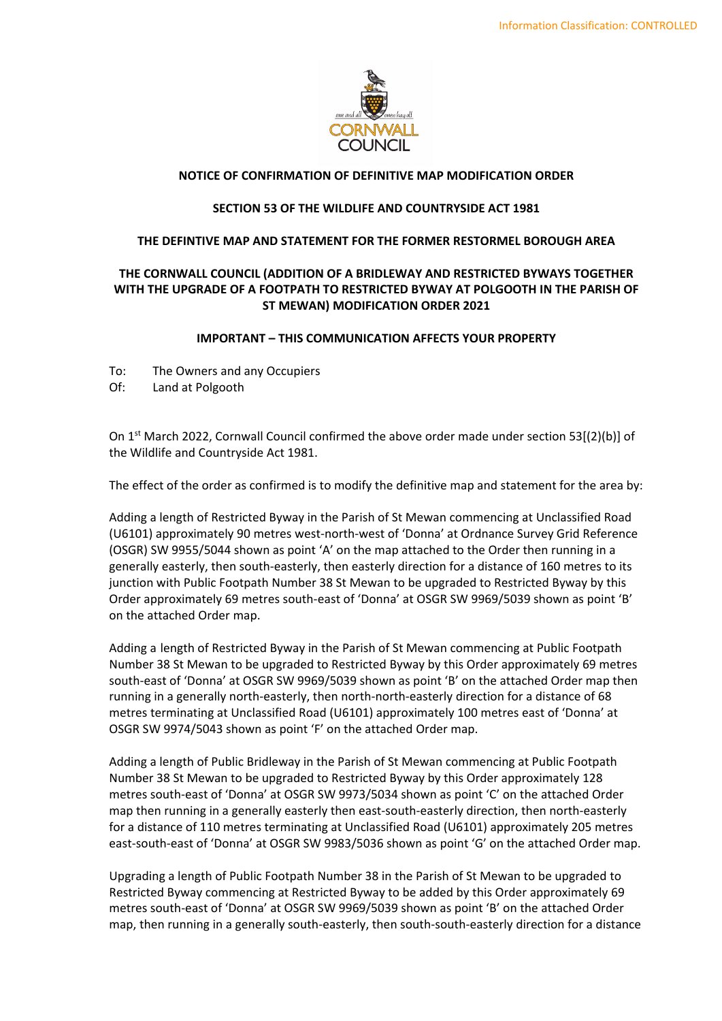

# **NOTICE OF CONFIRMATION OF DEFINITIVE MAP MODIFICATION ORDER**

#### **SECTION 53 OF THE WILDLIFE AND COUNTRYSIDE ACT 1981**

### **THE DEFINTIVE MAP AND STATEMENT FOR THE FORMER RESTORMEL BOROUGH AREA**

# **THE CORNWALL COUNCIL (ADDITION OF A BRIDLEWAY AND RESTRICTED BYWAYS TOGETHER WITH THE UPGRADE OF A FOOTPATH TO RESTRICTED BYWAY AT POLGOOTH IN THE PARISH OF ST MEWAN) MODIFICATION ORDER 2021**

### **IMPORTANT – THIS COMMUNICATION AFFECTS YOUR PROPERTY**

- To: The Owners and any Occupiers
- Of: Land at Polgooth

On  $1<sup>st</sup>$  March 2022, Cornwall Council confirmed the above order made under section 53[(2)(b)] of the Wildlife and Countryside Act 1981.

The effect of the order as confirmed is to modify the definitive map and statement for the area by:

 Adding a length of Restricted Byway in the Parish of St Mewan commencing at Unclassified Road (U6101) approximately 90 metres west‐north‐west of 'Donna' at Ordnance Survey Grid Reference (OSGR) SW 9955/5044 shown as point 'A' on the map attached to the Order then running in a generally easterly, then south‐easterly, then easterly direction for a distance of 160 metres to its junction with Public Footpath Number 38 St Mewan to be upgraded to Restricted Byway by this Order approximately 69 metres south‐east of 'Donna' at OSGR SW 9969/5039 shown as point 'B' on the attached Order map.

 Adding a length of Restricted Byway in the Parish of St Mewan commencing at Public Footpath Number 38 St Mewan to be upgraded to Restricted Byway by this Order approximately 69 metres south‐east of 'Donna' at OSGR SW 9969/5039 shown as point 'B' on the attached Order map then running in a generally north‐easterly, then north‐north‐easterly direction for a distance of 68 metres terminating at Unclassified Road (U6101) approximately 100 metres east of 'Donna' at OSGR SW 9974/5043 shown as point 'F' on the attached Order map.

 Adding a length of Public Bridleway in the Parish of St Mewan commencing at Public Footpath Number 38 St Mewan to be upgraded to Restricted Byway by this Order approximately 128 metres south‐east of 'Donna' at OSGR SW 9973/5034 shown as point 'C' on the attached Order map then running in a generally easterly then east‐south‐easterly direction, then north‐easterly for a distance of 110 metres terminating at Unclassified Road (U6101) approximately 205 metres east‐south‐east of 'Donna' at OSGR SW 9983/5036 shown as point 'G' on the attached Order map.

 Upgrading a length of Public Footpath Number 38 in the Parish of St Mewan to be upgraded to Restricted Byway commencing at Restricted Byway to be added by this Order approximately 69 metres south‐east of 'Donna' at OSGR SW 9969/5039 shown as point 'B' on the attached Order map, then running in a generally south‐easterly, then south‐south‐easterly direction for a distance